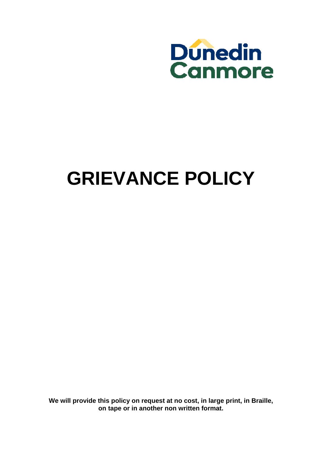

# **GRIEVANCE POLICY**

**We will provide this policy on request at no cost, in large print, in Braille, on tape or in another non written format.**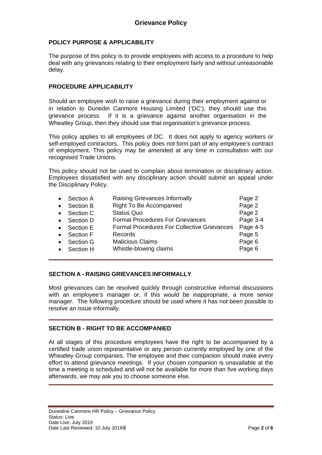## **POLICY PURPOSE & APPLICABILITY**

The purpose of this policy is to provide employees with access to a procedure to help deal with any grievances relating to their employment fairly and without unreasonable delay.

## **PROCEDURE APPLICABILITY**

Should an employee wish to raise a grievance during their employment against or in relation to Dunedin Canmore Housing Limited ('DC'), they should use this grievance process. If it is a grievance against another organisation in the Wheatley Group, then they should use that organisation's grievance process.

This policy applies to all employees of DC. It does not apply to agency workers or self-employed contractors. This policy does not form part of any employee's contract of employment. This policy may be amended at any time in consultation with our recognised Trade Unions.

This policy should not be used to complain about termination or disciplinary action. Employees dissatisfied with any disciplinary action should submit an appeal under the Disciplinary Policy.

| $\bullet$ | Section A | Raising Grievances Informally                      | Page 2   |
|-----------|-----------|----------------------------------------------------|----------|
| $\bullet$ | Section B | Right To Be Accompanied                            | Page 2   |
| $\bullet$ | Section C | <b>Status Quo</b>                                  | Page 2   |
| $\bullet$ | Section D | <b>Formal Procedures For Grievances</b>            | Page 3-4 |
| $\bullet$ | Section E | <b>Formal Procedures For Collective Grievances</b> | Page 4-5 |
| $\bullet$ | Section F | Records                                            | Page 5   |
| $\bullet$ | Section G | <b>Malicious Claims</b>                            | Page 6   |
| $\bullet$ | Section H | Whistle-blowing claims                             | Page 6   |
|           |           |                                                    |          |

## **SECTION A - RAISING GRIEVANCES INFORMALLY**

Most grievances can be resolved quickly through constructive informal discussions with an employee's manager or, if this would be inappropriate, a more senior manager. The following procedure should be used where it has not been possible to resolve an issue informally.

## **SECTION B - RIGHT TO BE ACCOMPANIED**

At all stages of this procedure employees have the right to be accompanied by a certified trade union representative or any person currently employed by one of the Wheatley Group companies. The employee and their companion should make every effort to attend grievance meetings. If your chosen companion is unavailable at the time a meeting is scheduled and will not be available for more than five working days afterwards, we may ask you to choose someone else.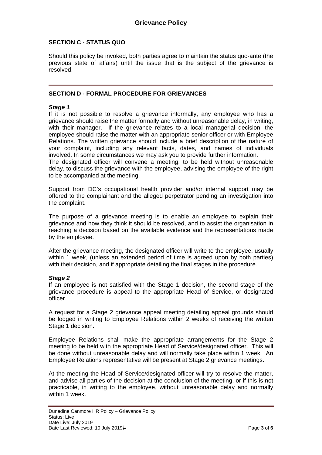## **SECTION C - STATUS QUO**

Should this policy be invoked, both parties agree to maintain the status quo-ante (the previous state of affairs) until the issue that is the subject of the grievance is resolved.

## **SECTION D - FORMAL PROCEDURE FOR GRIEVANCES**

#### *Stage 1*

If it is not possible to resolve a grievance informally, any employee who has a grievance should raise the matter formally and without unreasonable delay, in writing, with their manager. If the grievance relates to a local managerial decision, the employee should raise the matter with an appropriate senior officer or with Employee Relations. The written grievance should include a brief description of the nature of your complaint, including any relevant facts, dates, and names of individuals involved. In some circumstances we may ask you to provide further information. The designated officer will convene a meeting, to be held without unreasonable delay, to discuss the grievance with the employee, advising the employee of the right to be accompanied at the meeting.

Support from DC's occupational health provider and/or internal support may be offered to the complainant and the alleged perpetrator pending an investigation into the complaint.

The purpose of a grievance meeting is to enable an employee to explain their grievance and how they think it should be resolved, and to assist the organisation in reaching a decision based on the available evidence and the representations made by the employee.

After the grievance meeting, the designated officer will write to the employee, usually within 1 week, (unless an extended period of time is agreed upon by both parties) with their decision, and if appropriate detailing the final stages in the procedure.

## *Stage 2*

If an employee is not satisfied with the Stage 1 decision, the second stage of the grievance procedure is appeal to the appropriate Head of Service, or designated officer.

A request for a Stage 2 grievance appeal meeting detailing appeal grounds should be lodged in writing to Employee Relations within 2 weeks of receiving the written Stage 1 decision.

Employee Relations shall make the appropriate arrangements for the Stage 2 meeting to be held with the appropriate Head of Service/designated officer. This will be done without unreasonable delay and will normally take place within 1 week. An Employee Relations representative will be present at Stage 2 grievance meetings.

At the meeting the Head of Service/designated officer will try to resolve the matter, and advise all parties of the decision at the conclusion of the meeting, or if this is not practicable, in writing to the employee, without unreasonable delay and normally within 1 week.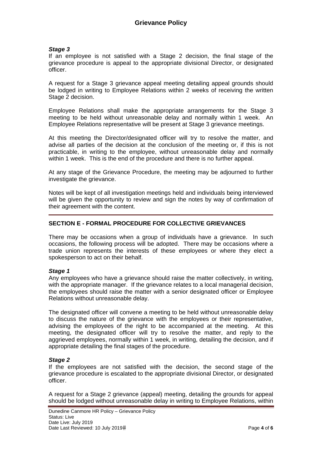#### *Stage 3*

If an employee is not satisfied with a Stage 2 decision, the final stage of the grievance procedure is appeal to the appropriate divisional Director, or designated officer.

A request for a Stage 3 grievance appeal meeting detailing appeal grounds should be lodged in writing to Employee Relations within 2 weeks of receiving the written Stage 2 decision.

Employee Relations shall make the appropriate arrangements for the Stage 3 meeting to be held without unreasonable delay and normally within 1 week. An Employee Relations representative will be present at Stage 3 grievance meetings.

At this meeting the Director/designated officer will try to resolve the matter, and advise all parties of the decision at the conclusion of the meeting or, if this is not practicable, in writing to the employee, without unreasonable delay and normally within 1 week. This is the end of the procedure and there is no further appeal.

At any stage of the Grievance Procedure, the meeting may be adjourned to further investigate the grievance.

Notes will be kept of all investigation meetings held and individuals being interviewed will be given the opportunity to review and sign the notes by way of confirmation of their agreement with the content.

## **SECTION E - FORMAL PROCEDURE FOR COLLECTIVE GRIEVANCES**

There may be occasions when a group of individuals have a grievance. In such occasions, the following process will be adopted. There may be occasions where a trade union represents the interests of these employees or where they elect a spokesperson to act on their behalf.

## *Stage 1*

Any employees who have a grievance should raise the matter collectively, in writing, with the appropriate manager. If the grievance relates to a local managerial decision, the employees should raise the matter with a senior designated officer or Employee Relations without unreasonable delay.

The designated officer will convene a meeting to be held without unreasonable delay to discuss the nature of the grievance with the employees or their representative, advising the employees of the right to be accompanied at the meeting. At this meeting, the designated officer will try to resolve the matter, and reply to the aggrieved employees, normally within 1 week, in writing, detailing the decision, and if appropriate detailing the final stages of the procedure.

## *Stage 2*

If the employees are not satisfied with the decision, the second stage of the grievance procedure is escalated to the appropriate divisional Director, or designated officer.

A request for a Stage 2 grievance (appeal) meeting, detailing the grounds for appeal should be lodged without unreasonable delay in writing to Employee Relations, within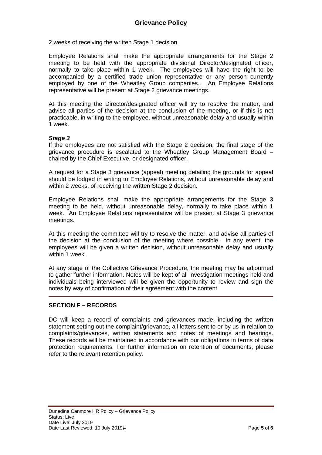2 weeks of receiving the written Stage 1 decision.

Employee Relations shall make the appropriate arrangements for the Stage 2 meeting to be held with the appropriate divisional Director/designated officer, normally to take place within 1 week. The employees will have the right to be accompanied by a certified trade union representative or any person currently employed by one of the Wheatley Group companies.. An Employee Relations representative will be present at Stage 2 grievance meetings.

At this meeting the Director/designated officer will try to resolve the matter, and advise all parties of the decision at the conclusion of the meeting, or if this is not practicable, in writing to the employee, without unreasonable delay and usually within 1 week.

#### *Stage 3*

If the employees are not satisfied with the Stage 2 decision, the final stage of the grievance procedure is escalated to the Wheatley Group Management Board – chaired by the Chief Executive, or designated officer.

A request for a Stage 3 grievance (appeal) meeting detailing the grounds for appeal should be lodged in writing to Employee Relations, without unreasonable delay and within 2 weeks, of receiving the written Stage 2 decision.

Employee Relations shall make the appropriate arrangements for the Stage 3 meeting to be held, without unreasonable delay, normally to take place within 1 week. An Employee Relations representative will be present at Stage 3 grievance meetings.

At this meeting the committee will try to resolve the matter, and advise all parties of the decision at the conclusion of the meeting where possible. In any event, the employees will be given a written decision, without unreasonable delay and usually within 1 week.

At any stage of the Collective Grievance Procedure, the meeting may be adjourned to gather further information. Notes will be kept of all investigation meetings held and individuals being interviewed will be given the opportunity to review and sign the notes by way of confirmation of their agreement with the content.

## **SECTION F – RECORDS**

DC will keep a record of complaints and grievances made, including the written statement setting out the complaint/grievance, all letters sent to or by us in relation to complaints/grievances, written statements and notes of meetings and hearings. These records will be maintained in accordance with our obligations in terms of data protection requirements. For further information on retention of documents, please refer to the relevant retention policy.